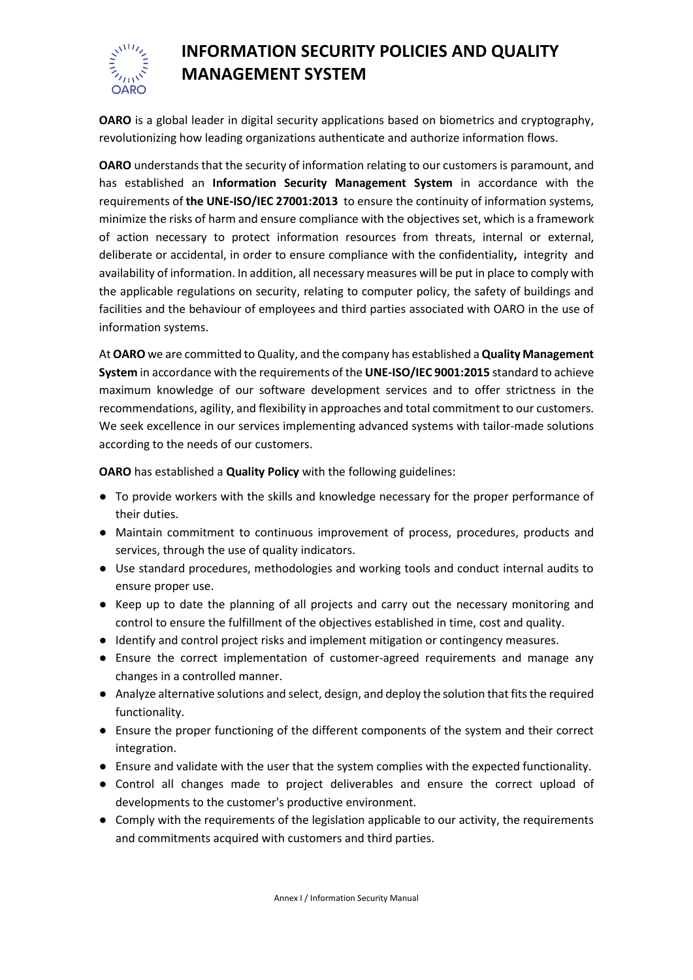

## **INFORMATION SECURITY POLICIES AND QUALITY MANAGEMENT SYSTEM**

**OARO** is a global leader in digital security applications based on biometrics and cryptography, revolutionizing how leading organizations authenticate and authorize information flows.

OARO understands that the security of information relating to our customers is paramount, and has established an **Information Security Management System** in accordance with the requirements of **the UNE-ISO/IEC 27001:2013** to ensure the continuity of information systems, minimize the risks of harm and ensure compliance with the objectives set, which is a framework of action necessary to protect information resources from threats, internal or external, deliberate or accidental, in order to ensure compliance with the confidentiality**,** integrity and availability of information. In addition, all necessary measures will be put in place to comply with the applicable regulations on security, relating to computer policy, the safety of buildings and facilities and the behaviour of employees and third parties associated with OARO in the use of information systems.

At **OARO** we are committed to Quality, and the company has established a **Quality Management System** in accordance with the requirements of the **UNE-ISO/IEC 9001:2015** standard to achieve maximum knowledge of our software development services and to offer strictness in the recommendations, agility, and flexibility in approaches and total commitment to our customers. We seek excellence in our services implementing advanced systems with tailor-made solutions according to the needs of our customers.

**OARO** has established a **Quality Policy** with the following guidelines:

- To provide workers with the skills and knowledge necessary for the proper performance of their duties.
- Maintain commitment to continuous improvement of process, procedures, products and services, through the use of quality indicators.
- Use standard procedures, methodologies and working tools and conduct internal audits to ensure proper use.
- Keep up to date the planning of all projects and carry out the necessary monitoring and control to ensure the fulfillment of the objectives established in time, cost and quality.
- Identify and control project risks and implement mitigation or contingency measures.
- Ensure the correct implementation of customer-agreed requirements and manage any changes in a controlled manner.
- Analyze alternative solutions and select, design, and deploy the solution that fits the required functionality.
- Ensure the proper functioning of the different components of the system and their correct integration.
- Ensure and validate with the user that the system complies with the expected functionality.
- Control all changes made to project deliverables and ensure the correct upload of developments to the customer's productive environment.
- Comply with the requirements of the legislation applicable to our activity, the requirements and commitments acquired with customers and third parties.